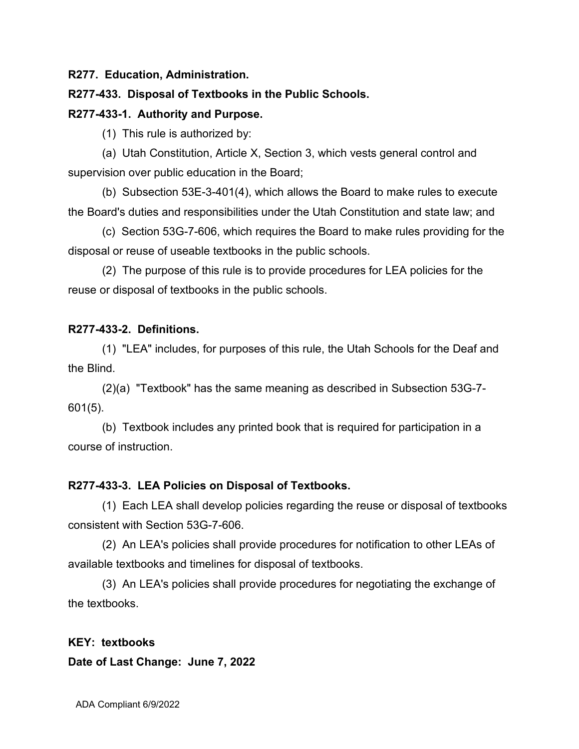**R277. Education, Administration.**

## **R277-433. Disposal of Textbooks in the Public Schools.**

### **R277-433-1. Authority and Purpose.**

(1) This rule is authorized by:

(a) Utah Constitution, Article X, Section 3, which vests general control and supervision over public education in the Board;

(b) Subsection 53E-3-401(4), which allows the Board to make rules to execute the Board's duties and responsibilities under the Utah Constitution and state law; and

(c) Section 53G-7-606, which requires the Board to make rules providing for the disposal or reuse of useable textbooks in the public schools.

(2) The purpose of this rule is to provide procedures for LEA policies for the reuse or disposal of textbooks in the public schools.

# **R277-433-2. Definitions.**

(1) "LEA" includes, for purposes of this rule, the Utah Schools for the Deaf and the Blind.

(2)(a) "Textbook" has the same meaning as described in Subsection 53G-7- 601(5).

(b) Textbook includes any printed book that is required for participation in a course of instruction.

### **R277-433-3. LEA Policies on Disposal of Textbooks.**

(1) Each LEA shall develop policies regarding the reuse or disposal of textbooks consistent with Section 53G-7-606.

(2) An LEA's policies shall provide procedures for notification to other LEAs of available textbooks and timelines for disposal of textbooks.

(3) An LEA's policies shall provide procedures for negotiating the exchange of the textbooks.

### **KEY: textbooks**

### **Date of Last Change: June 7, 2022**